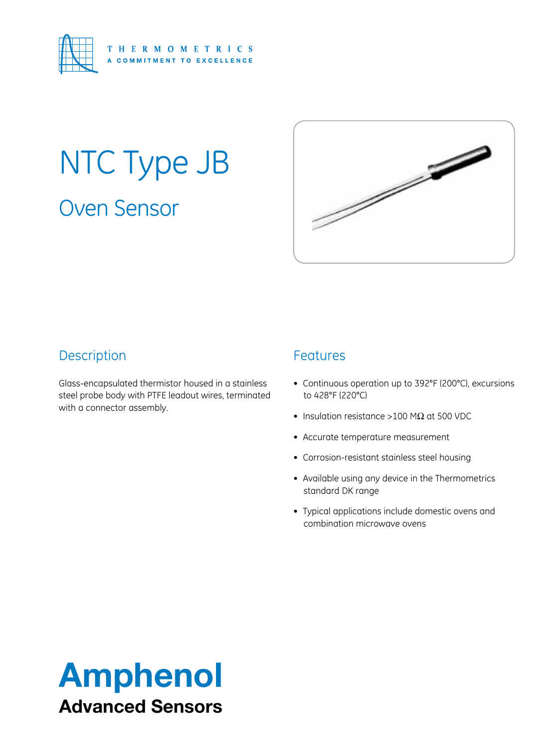

# Oven Sensor NTC Type JB



# **Description**

Glass-encapsulated thermistor housed in a stainless steel probe body with PTFE leadout wires, terminated with a connector assembly.

### Features

- • Continuous operation up to 392°F (200°C), excursions to 428°F (220°C)
- Insulation resistance >100 M $\Omega$  at 500 VDC
- • Accurate temperature measurement
- • Corrosion-resistant stainless steel housing
- Available using any device in the Thermometrics standard DK range
- • Typical applications include domestic ovens and combination microwave ovens

# Amphenol Advanced Sensors